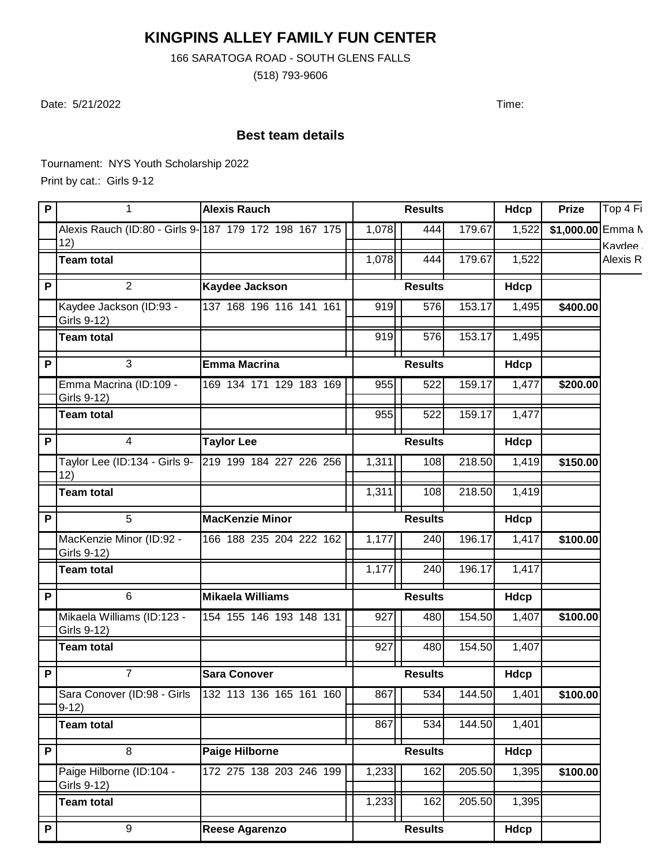## **KINGPINS ALLEY FAMILY FUN CENTER**

166 SARATOGA ROAD - SOUTH GLENS FALLS

(518) 793-9606

Date: 5/21/2022 Time:

## **Best team details**

Tournament: NYS Youth Scholarship 2022 Print by cat.: Girls 9-12

| P              | $\mathbf 1$                               | <b>Alexis Rauch</b>                                   |       | <b>Results</b> |        | Hdcp  | <b>Prize</b>      | Top 4 Fi |
|----------------|-------------------------------------------|-------------------------------------------------------|-------|----------------|--------|-------|-------------------|----------|
|                | 12)                                       | Alexis Rauch (ID:80 - Girls 9-187 179 172 198 167 175 | 1,078 | 444            | 179.67 | 1,522 | \$1,000.00 Emma N | Kavdee   |
|                | <b>Team total</b>                         |                                                       | 1,078 | 444            | 179.67 | 1,522 |                   | Alexis R |
| $\mathsf{P}$   | $\overline{2}$                            | <b>Kaydee Jackson</b>                                 |       | <b>Results</b> |        | Hdcp  |                   |          |
|                | Kaydee Jackson (ID:93 -<br>Girls 9-12)    | 137 168 196 116 141 161                               | 919   | 576            | 153.17 | 1,495 | \$400.00          |          |
|                | <b>Team total</b>                         |                                                       | 919   | 576            | 153.17 | 1,495 |                   |          |
| $\overline{P}$ | 3                                         | <b>Emma Macrina</b>                                   |       | <b>Results</b> |        | Hdcp  |                   |          |
|                | Emma Macrina (ID:109 -<br>Girls 9-12)     | 169 134 171 129 183 169                               | 955   | 522            | 159.17 | 1,477 | \$200.00          |          |
|                | <b>Team total</b>                         |                                                       | 955   | 522            | 159.17 | 1,477 |                   |          |
| $\overline{P}$ | 4                                         | <b>Taylor Lee</b>                                     |       | <b>Results</b> |        | Hdcp  |                   |          |
|                | Taylor Lee (ID:134 - Girls 9-<br>12)      | 219 199 184 227 226 256                               | 1,311 | 108            | 218.50 | 1,419 | \$150.00          |          |
|                | <b>Team total</b>                         |                                                       | 1,311 | 108            | 218.50 | 1,419 |                   |          |
| P              | 5                                         | <b>MacKenzie Minor</b>                                |       | <b>Results</b> |        | Hdcp  |                   |          |
|                | MacKenzie Minor (ID:92 -<br>Girls 9-12)   | 166 188 235 204 222 162                               | 1,177 | 240            | 196.17 | 1,417 | \$100.00          |          |
|                | <b>Team total</b>                         |                                                       | 1,177 | 240            | 196.17 | 1,417 |                   |          |
| P              | 6                                         | <b>Mikaela Williams</b>                               |       | <b>Results</b> |        | Hdcp  |                   |          |
|                | Mikaela Williams (ID:123 -<br>Girls 9-12) | 154 155 146 193 148 131                               | 927   | 480            | 154.50 | 1,407 | \$100.00          |          |
|                | <b>Team total</b>                         |                                                       | 927   | 480            | 154.50 | 1,407 |                   |          |
| $\overline{P}$ | $\overline{7}$                            | <b>Sara Conover</b>                                   |       | <b>Results</b> |        | Hdcp  |                   |          |
|                | Sara Conover (ID:98 - Girls<br>$9-12)$    | 132 113 136 165 161 160                               | 867   | 534            | 144.50 | 1,401 | \$100.00          |          |
|                | <b>Team total</b>                         |                                                       | 867   | 534            | 144.50 | 1,401 |                   |          |
| $\overline{P}$ | 8                                         | <b>Paige Hilborne</b>                                 |       | <b>Results</b> |        | Hdcp  |                   |          |
|                | Paige Hilborne (ID:104 -<br>Girls 9-12)   | 172 275 138 203 246 199                               | 1,233 | 162            | 205.50 | 1,395 | \$100.00          |          |
|                | <b>Team total</b>                         |                                                       | 1,233 | 162            | 205.50 | 1,395 |                   |          |
| $\mathsf P$    | 9                                         | <b>Reese Agarenzo</b>                                 |       | <b>Results</b> |        | Hdcp  |                   |          |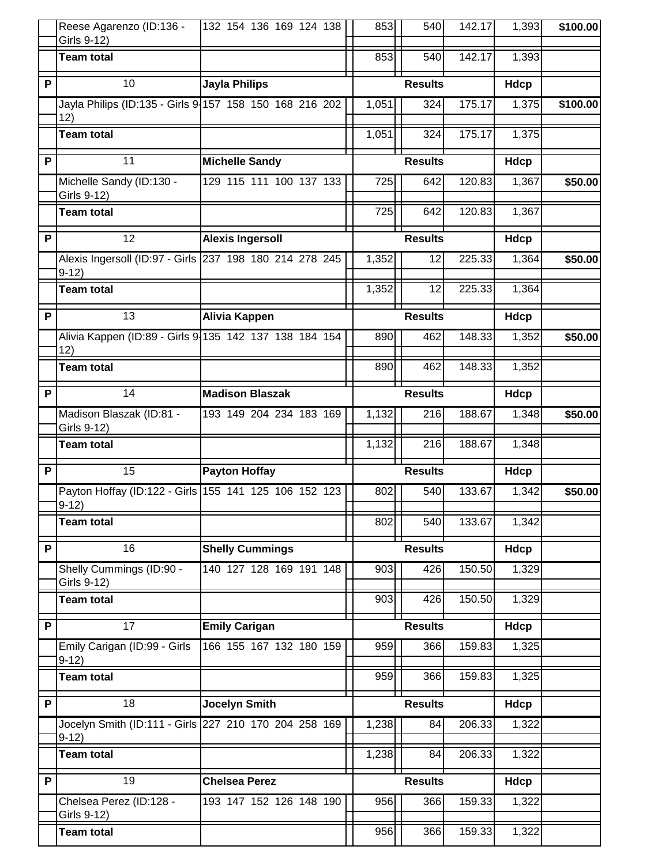|   | Reese Agarenzo (ID:136 -<br>Girls 9-12) | 132 154 136 169 124 138                                 | 853            | 540            | 142.17 | 1,393 | \$100.00 |
|---|-----------------------------------------|---------------------------------------------------------|----------------|----------------|--------|-------|----------|
|   | <b>Team total</b>                       |                                                         | 853            | 540            | 142.17 | 1,393 |          |
| P | 10                                      | <b>Jayla Philips</b>                                    |                | <b>Results</b> |        | Hdcp  |          |
|   | 12)                                     | Jayla Philips (ID:135 - Girls 9 157 158 150 168 216 202 | 1,051          | 324            | 175.17 | 1,375 | \$100.00 |
|   | <b>Team total</b>                       |                                                         | 1,051          | 324            | 175.17 | 1,375 |          |
| P | 11                                      | <b>Michelle Sandy</b>                                   | <b>Results</b> |                | Hdcp   |       |          |
|   | Michelle Sandy (ID:130 -<br>Girls 9-12) | 129 115 111 100 137 133                                 | 725            | 642            | 120.83 | 1,367 | \$50.00  |
|   | <b>Team total</b>                       |                                                         | 725            | 642            | 120.83 | 1,367 |          |
| P | 12                                      | <b>Alexis Ingersoll</b>                                 |                | <b>Results</b> |        | Hdcp  |          |
|   | $9-12)$                                 | Alexis Ingersoll (ID:97 - Girls 237 198 180 214 278 245 | 1,352          | 12             | 225.33 | 1,364 | \$50.00  |
|   | <b>Team total</b>                       |                                                         | 1,352          | 12             | 225.33 | 1,364 |          |
| P | 13                                      | <b>Alivia Kappen</b>                                    |                | <b>Results</b> |        | Hdcp  |          |
|   | 12)                                     | Alivia Kappen (ID:89 - Girls 9 135 142 137 138 184 154  | 890            | 462            | 148.33 | 1,352 | \$50.00  |
|   | <b>Team total</b>                       |                                                         | 890            | 462            | 148.33 | 1,352 |          |
| P | 14                                      | <b>Madison Blaszak</b>                                  | <b>Results</b> |                | Hdcp   |       |          |
|   | Madison Blaszak (ID:81 -<br>Girls 9-12) | 193 149 204 234 183 169                                 | 1,132          | 216            | 188.67 | 1,348 | \$50.00  |
|   | <b>Team total</b>                       |                                                         | 1,132          | 216            | 188.67 | 1,348 |          |
| P | 15                                      | <b>Payton Hoffay</b>                                    | <b>Results</b> |                | Hdcp   |       |          |
|   | $9-12)$                                 | Payton Hoffay (ID:122 - Girls 155 141 125 106 152 123   | 802            | 540            | 133.67 | 1,342 | \$50.00  |
|   | <b>Team total</b>                       |                                                         | 802            | 540            | 133.67 | 1,342 |          |
| P | 16                                      | <b>Shelly Cummings</b>                                  | <b>Results</b> |                | Hdcp   |       |          |
|   | Shelly Cummings (ID:90 -<br>Girls 9-12) | 140 127 128 169 191 148                                 | 903            | 426            | 150.50 | 1,329 |          |
|   | <b>Team total</b>                       |                                                         | 903            | 426            | 150.50 | 1,329 |          |
| P | $\overline{17}$                         | <b>Emily Carigan</b>                                    | <b>Results</b> |                | Hdcp   |       |          |
|   | Emily Carigan (ID:99 - Girls<br>$9-12)$ | 166 155 167 132 180 159                                 | 959            | 366            | 159.83 | 1,325 |          |
|   | <b>Team total</b>                       |                                                         | 959            | 366            | 159.83 | 1,325 |          |
| P | 18                                      | <b>Jocelyn Smith</b>                                    |                | <b>Results</b> |        | Hdcp  |          |
|   | $9-12)$                                 | Jocelyn Smith (ID:111 - Girls 227 210 170 204 258 169   | 1,238          | 84             | 206.33 | 1,322 |          |
|   | <b>Team total</b>                       |                                                         | 1,238          | 84             | 206.33 | 1,322 |          |
| P | 19                                      | <b>Chelsea Perez</b>                                    |                | <b>Results</b> |        | Hdcp  |          |
|   | Chelsea Perez (ID:128 -<br>Girls 9-12)  | 193 147 152 126 148 190                                 | 956            | 366            | 159.33 | 1,322 |          |
|   | <b>Team total</b>                       |                                                         | 956            | 366            | 159.33 | 1,322 |          |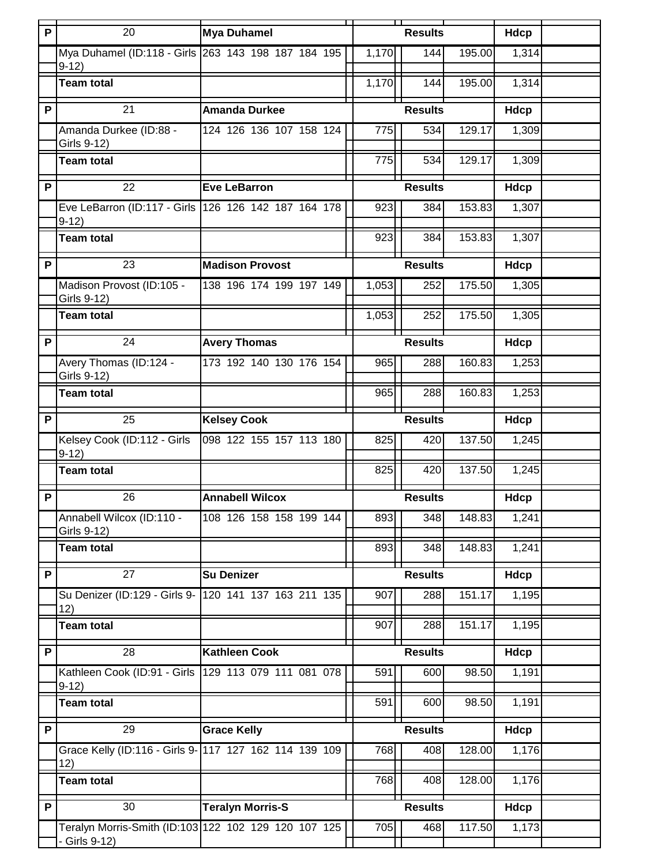| P | 20                                       | <b>Mya Duhamel</b>                                     | <b>Results</b> |                |        | <b>Hdcp</b> |  |
|---|------------------------------------------|--------------------------------------------------------|----------------|----------------|--------|-------------|--|
|   | $9-12)$                                  | Mya Duhamel (ID:118 - Girls 263 143 198 187 184 195    | 1,170          | 144            | 195.00 | 1,314       |  |
|   | <b>Team total</b>                        |                                                        | 1,170          | 144            | 195.00 | 1,314       |  |
| P | 21                                       | <b>Amanda Durkee</b>                                   |                | <b>Results</b> |        | Hdcp        |  |
|   | Amanda Durkee (ID:88 -<br>Girls 9-12)    | 124 126 136 107 158 124                                | 775            | 534            | 129.17 | 1,309       |  |
|   | <b>Team total</b>                        |                                                        | 775            | 534            | 129.17 | 1,309       |  |
| P | 22                                       | <b>Eve LeBarron</b>                                    |                | <b>Results</b> |        |             |  |
|   | $9-12)$                                  | Eve LeBarron (ID:117 - Girls 126 126 142 187 164 178   | 923            | 384            | 153.83 | 1,307       |  |
|   | <b>Team total</b>                        |                                                        | 923            | 384            | 153.83 | 1,307       |  |
| P | 23                                       | <b>Madison Provost</b>                                 |                | <b>Results</b> |        | Hdcp        |  |
|   | Madison Provost (ID:105 -<br>Girls 9-12) | 138 196 174 199 197 149                                | 1,053          | 252            | 175.50 | 1,305       |  |
|   | <b>Team total</b>                        |                                                        | 1,053          | 252            | 175.50 | 1,305       |  |
| P | 24                                       | <b>Avery Thomas</b>                                    | <b>Results</b> |                | Hdcp   |             |  |
|   | Avery Thomas (ID:124 -<br>Girls 9-12)    | 173 192 140 130 176 154                                | 965            | 288            | 160.83 | 1,253       |  |
|   | <b>Team total</b>                        |                                                        | 965            | 288            | 160.83 | 1,253       |  |
| P | 25                                       | <b>Kelsey Cook</b>                                     |                | <b>Results</b> |        |             |  |
|   | Kelsey Cook (ID:112 - Girls<br>$9-12)$   | 098 122 155 157 113 180                                | 825            | 420            | 137.50 | 1,245       |  |
|   | <b>Team total</b>                        |                                                        | 825            | 420            | 137.50 | 1,245       |  |
| P | 26                                       | <b>Annabell Wilcox</b>                                 | <b>Results</b> |                | Hdcp   |             |  |
|   | Annabell Wilcox (ID:110 -<br>Girls 9-12) | 108 126 158 158 199 144                                | 893            | 348            | 148.83 | 1,241       |  |
|   | <b>Team total</b>                        |                                                        | 893            | 348            | 148.83 | 1,241       |  |
| P | 27                                       | <b>Su Denizer</b>                                      | <b>Results</b> |                | Hdcp   |             |  |
|   | Su Denizer (ID:129 - Girls 9-<br>12)     | 120 141 137 163 211 135                                | 907            | 288            | 151.17 | 1,195       |  |
|   | <b>Team total</b>                        |                                                        | 907            | 288            | 151.17 | 1,195       |  |
| P | 28                                       | <b>Kathleen Cook</b>                                   | <b>Results</b> |                |        | Hdcp        |  |
|   | Kathleen Cook (ID:91 - Girls<br>$9-12)$  | 129 113 079 111 081 078                                | 591            | 600            | 98.50  | 1,191       |  |
|   | <b>Team total</b>                        |                                                        | 591            | 600            | 98.50  | 1,191       |  |
| P | 29                                       | <b>Grace Kelly</b>                                     | <b>Results</b> |                |        | Hdcp        |  |
|   | 12)                                      | Grace Kelly (ID:116 - Girls 9- 117 127 162 114 139 109 | 768            | 408            | 128.00 | 1,176       |  |
|   | <b>Team total</b>                        |                                                        | 768            | 408            | 128.00 | 1,176       |  |
| P | 30                                       | <b>Teralyn Morris-S</b>                                |                | <b>Results</b> |        | Hdcp        |  |
|   | - Girls 9-12)                            | Teralyn Morris-Smith (ID:103 122 102 129 120 107 125   | 705            | 468            | 117.50 | 1,173       |  |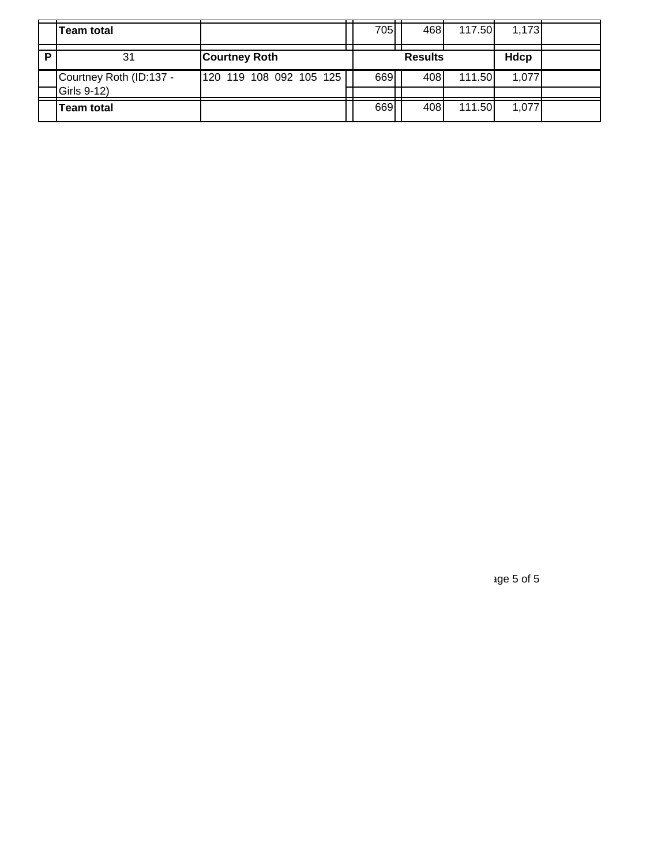| Team total              |                         | 705 | 468            | 117.50 | 1,173 |  |
|-------------------------|-------------------------|-----|----------------|--------|-------|--|
| 31                      | <b>Courtney Roth</b>    |     | <b>Results</b> |        |       |  |
| Courtney Roth (ID:137 - | 120 119 108 092 105 125 | 669 | 408            | 111.50 | 1,077 |  |
| Girls 9-12)             |                         |     |                |        |       |  |
| Team total              |                         | 669 | 408            | 111.50 | 1,077 |  |

age 5 of 5